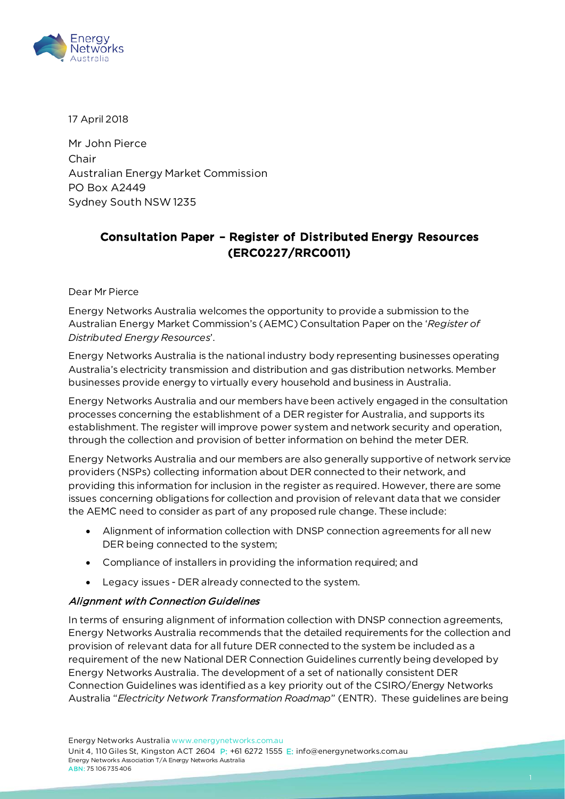

17 April 2018

Mr John Pierce Chair Australian Energy Market Commission PO Box A2449 Sydney South NSW1235

# Consultation Paper – Register of Distributed Energy Resources (ERC0227/RRC0011)

Dear Mr Pierce

Energy Networks Australia welcomes the opportunity to provide a submission to the Australian Energy Market Commission's (AEMC) Consultation Paper on the '*Register of Distributed Energy Resources*'.

Energy Networks Australia is the national industry body representing businesses operating Australia's electricity transmission and distribution and gas distribution networks. Member businesses provide energy to virtually every household and business in Australia.

Energy Networks Australia and our members have been actively engaged in the consultation processes concerning the establishment of a DER register for Australia, and supports its establishment. The register will improve power system and network security and operation, through the collection and provision of better information on behind the meter DER.

Energy Networks Australia and our members are also generally supportive of network service providers (NSPs) collecting information about DER connected to their network, and providing this information for inclusion in the register as required. However, there are some issues concerning obligations for collection and provision of relevant data that we consider the AEMC need to consider as part of any proposed rule change. These include:

- Alignment of information collection with DNSP connection agreements for all new DER being connected to the system;
- Compliance of installers in providing the information required; and
- Legacy issues DER already connected to the system.

#### Alignment with Connection Guidelines

In terms of ensuring alignment of information collection with DNSP connection agreements, Energy Networks Australia recommends that the detailed requirements for the collection and provision of relevant data for all future DER connected to the system be included as a requirement of the new National DER Connection Guidelines currently being developed by Energy Networks Australia. The development of a set of nationally consistent DER Connection Guidelines was identified as a key priority out of the CSIRO/Energy Networks Australia "*Electricity Network Transformation Roadmap*" (ENTR). These guidelines are being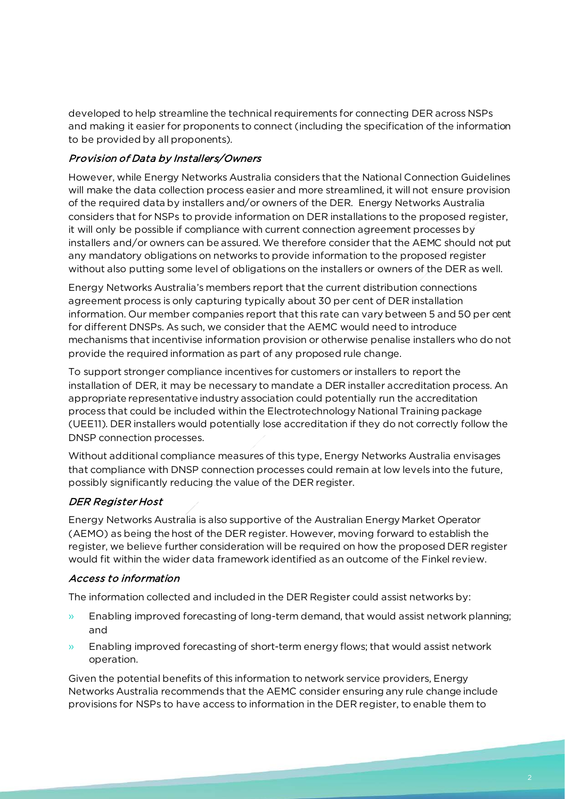developed to help streamline the technical requirements for connecting DER across NSPs and making it easier for proponents to connect (including the specification of the information to be provided by all proponents).

### Provision of Data by Installers/Owners

However, while Energy Networks Australia considers that the National Connection Guidelines will make the data collection process easier and more streamlined, it will not ensure provision of the required data by installers and/or owners of the DER. Energy Networks Australia considers that for NSPs to provide information on DER installations to the proposed register, it will only be possible if compliance with current connection agreement processes by installers and/or owners can be assured. We therefore consider that the AEMC should not put any mandatory obligations on networks to provide information to the proposed register without also putting some level of obligations on the installers or owners of the DER as well.

Energy Networks Australia's members report that the current distribution connections agreement process is only capturing typically about 30 per cent of DER installation information. Our member companies report that this rate can vary between 5 and 50 per cent for different DNSPs. As such, we consider that the AEMC would need to introduce mechanisms that incentivise information provision or otherwise penalise installers who do not provide the required information as part of any proposed rule change.

To support stronger compliance incentives for customers or installers to report the installation of DER, it may be necessary to mandate a DER installer accreditation process. An appropriate representative industry association could potentially run the accreditation process that could be included within the Electrotechnology National Training package (UEE11). DER installers would potentially lose accreditation if they do not correctly follow the DNSP connection processes.

Without additional compliance measures of this type, Energy Networks Australia envisages that compliance with DNSP connection processes could remain at low levels into the future, possibly significantly reducing the value of the DER register.

# DER Register Host

Energy Networks Australia is also supportive of the Australian Energy Market Operator (AEMO) as being the host of the DER register. However, moving forward to establish the register, we believe further consideration will be required on how the proposed DER register would fit within the wider data framework identified as an outcome of the Finkel review.

# Access to information

The information collected and included in the DER Register could assist networks by:

- » Enabling improved forecasting of long-term demand, that would assist network planning; and
- » Enabling improved forecasting of short-term energy flows; that would assist network operation.

Given the potential benefits of this information to network service providers, Energy Networks Australia recommends that the AEMC consider ensuring any rule change include provisions for NSPs to have access to information in the DER register, to enable them to